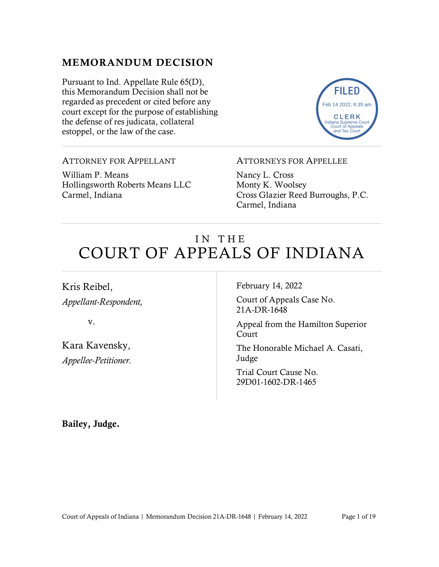### MEMORANDUM DECISION

Pursuant to Ind. Appellate Rule 65(D), this Memorandum Decision shall not be regarded as precedent or cited before any court except for the purpose of establishing the defense of res judicata, collateral estoppel, or the law of the case.



#### ATTORNEY FOR APPELLANT

William P. Means Hollingsworth Roberts Means LLC Carmel, Indiana

#### ATTORNEYS FOR APPELLEE

Nancy L. Cross Monty K. Woolsey Cross Glazier Reed Burroughs, P.C. Carmel, Indiana

# IN THE COURT OF APPEALS OF INDIANA

Kris Reibel, *Appellant-Respondent,*

v.

Kara Kavensky, *Appellee-Petitioner.* February 14, 2022

Court of Appeals Case No. 21A-DR-1648

Appeal from the Hamilton Superior Court

The Honorable Michael A. Casati, Judge

Trial Court Cause No. 29D01-1602-DR-1465

Bailey, Judge.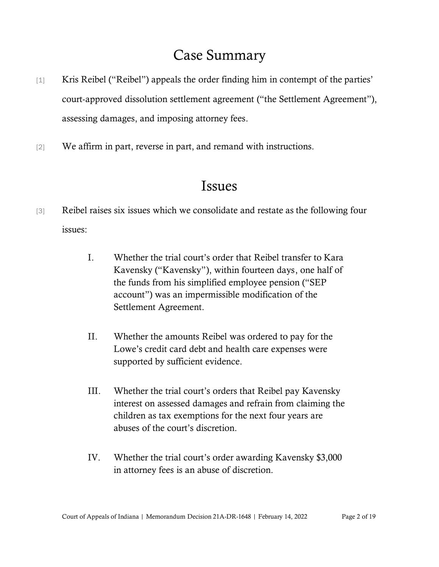# Case Summary

- [1] Kris Reibel ("Reibel") appeals the order finding him in contempt of the parties' court-approved dissolution settlement agreement ("the Settlement Agreement"), assessing damages, and imposing attorney fees.
- [2] We affirm in part, reverse in part, and remand with instructions.

## Issues

- [3] Reibel raises six issues which we consolidate and restate as the following four issues:
	- I. Whether the trial court's order that Reibel transfer to Kara Kavensky ("Kavensky"), within fourteen days, one half of the funds from his simplified employee pension ("SEP account") was an impermissible modification of the Settlement Agreement.
	- II. Whether the amounts Reibel was ordered to pay for the Lowe's credit card debt and health care expenses were supported by sufficient evidence.
	- III. Whether the trial court's orders that Reibel pay Kavensky interest on assessed damages and refrain from claiming the children as tax exemptions for the next four years are abuses of the court's discretion.
	- IV. Whether the trial court's order awarding Kavensky \$3,000 in attorney fees is an abuse of discretion.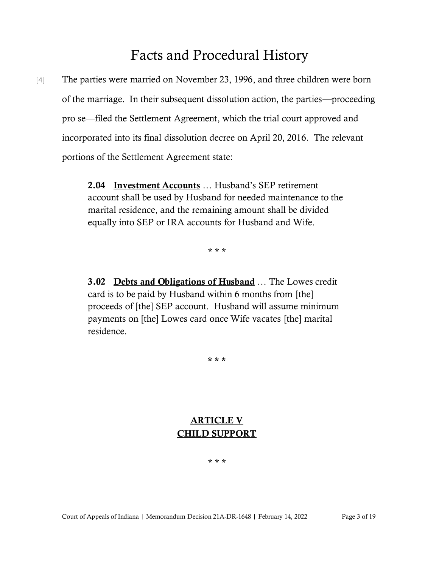# Facts and Procedural History

[4] The parties were married on November 23, 1996, and three children were born of the marriage. In their subsequent dissolution action, the parties—proceeding pro se—filed the Settlement Agreement, which the trial court approved and incorporated into its final dissolution decree on April 20, 2016. The relevant portions of the Settlement Agreement state:

> 2.04 Investment Accounts … Husband's SEP retirement account shall be used by Husband for needed maintenance to the marital residence, and the remaining amount shall be divided equally into SEP or IRA accounts for Husband and Wife.

> > \* \* \*

3.02 Debts and Obligations of Husband ... The Lowes credit card is to be paid by Husband within 6 months from [the] proceeds of [the] SEP account. Husband will assume minimum payments on [the] Lowes card once Wife vacates [the] marital residence.

\* \* \*

### ARTICLE V CHILD SUPPORT

#### \* \* \*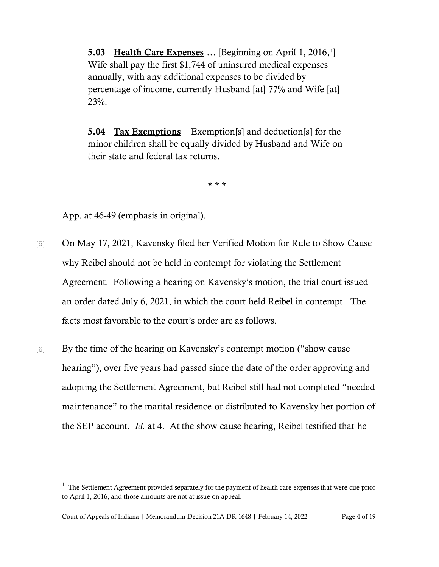5.03 Health Care Expenses ... [Beginning on April 1, 2016,<sup>1</sup>] Wife shall pay the first \$1,744 of uninsured medical expenses annually, with any additional expenses to be divided by percentage of income, currently Husband [at] 77% and Wife [at] 23%.

5.04 Tax Exemptions Exemption[s] and deduction[s] for the minor children shall be equally divided by Husband and Wife on their state and federal tax returns.

\* \* \*

App. at 46-49 (emphasis in original).

- [5] On May 17, 2021, Kavensky filed her Verified Motion for Rule to Show Cause why Reibel should not be held in contempt for violating the Settlement Agreement. Following a hearing on Kavensky's motion, the trial court issued an order dated July 6, 2021, in which the court held Reibel in contempt. The facts most favorable to the court's order are as follows.
- [6] By the time of the hearing on Kavensky's contempt motion ("show cause") hearing"), over five years had passed since the date of the order approving and adopting the Settlement Agreement, but Reibel still had not completed "needed maintenance" to the marital residence or distributed to Kavensky her portion of the SEP account. *Id*. at 4. At the show cause hearing, Reibel testified that he

 $<sup>1</sup>$  The Settlement Agreement provided separately for the payment of health care expenses that were due prior</sup> to April 1, 2016, and those amounts are not at issue on appeal.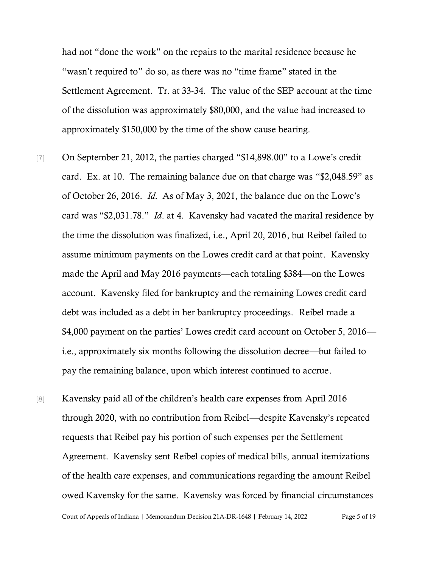had not "done the work" on the repairs to the marital residence because he "wasn't required to" do so, as there was no "time frame" stated in the Settlement Agreement. Tr. at 33-34. The value of the SEP account at the time of the dissolution was approximately \$80,000, and the value had increased to approximately \$150,000 by the time of the show cause hearing.

- [7] On September 21, 2012, the parties charged "\$14,898.00" to a Lowe's credit card. Ex. at 10. The remaining balance due on that charge was "\$2,048.59" as of October 26, 2016. *Id*. As of May 3, 2021, the balance due on the Lowe's card was "\$2,031.78." *Id*. at 4. Kavensky had vacated the marital residence by the time the dissolution was finalized, i.e., April 20, 2016, but Reibel failed to assume minimum payments on the Lowes credit card at that point. Kavensky made the April and May 2016 payments—each totaling \$384—on the Lowes account. Kavensky filed for bankruptcy and the remaining Lowes credit card debt was included as a debt in her bankruptcy proceedings. Reibel made a \$4,000 payment on the parties' Lowes credit card account on October 5, 2016 i.e., approximately six months following the dissolution decree—but failed to pay the remaining balance, upon which interest continued to accrue.
- [8] Kavensky paid all of the children's health care expenses from April 2016 through 2020, with no contribution from Reibel—despite Kavensky's repeated requests that Reibel pay his portion of such expenses per the Settlement Agreement. Kavensky sent Reibel copies of medical bills, annual itemizations of the health care expenses, and communications regarding the amount Reibel owed Kavensky for the same. Kavensky was forced by financial circumstances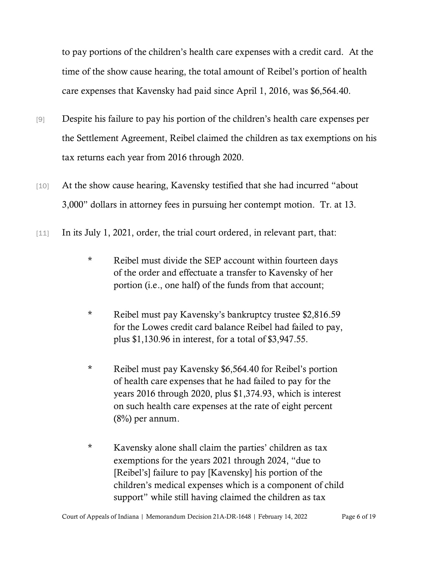to pay portions of the children's health care expenses with a credit card. At the time of the show cause hearing, the total amount of Reibel's portion of health care expenses that Kavensky had paid since April 1, 2016, was \$6,564.40.

- [9] Despite his failure to pay his portion of the children's health care expenses per the Settlement Agreement, Reibel claimed the children as tax exemptions on his tax returns each year from 2016 through 2020.
- [10] At the show cause hearing, Kavensky testified that she had incurred "about 3,000" dollars in attorney fees in pursuing her contempt motion. Tr. at 13.
- [11] In its July 1, 2021, order, the trial court ordered, in relevant part, that:
	- \* Reibel must divide the SEP account within fourteen days of the order and effectuate a transfer to Kavensky of her portion (i.e., one half) of the funds from that account;
	- \* Reibel must pay Kavensky's bankruptcy trustee \$2,816.59 for the Lowes credit card balance Reibel had failed to pay, plus \$1,130.96 in interest, for a total of \$3,947.55.
	- \* Reibel must pay Kavensky \$6,564.40 for Reibel's portion of health care expenses that he had failed to pay for the years 2016 through 2020, plus \$1,374.93, which is interest on such health care expenses at the rate of eight percent (8%) per annum.
	- \* Kavensky alone shall claim the parties' children as tax exemptions for the years 2021 through 2024, "due to [Reibel's] failure to pay [Kavensky] his portion of the children's medical expenses which is a component of child support" while still having claimed the children as tax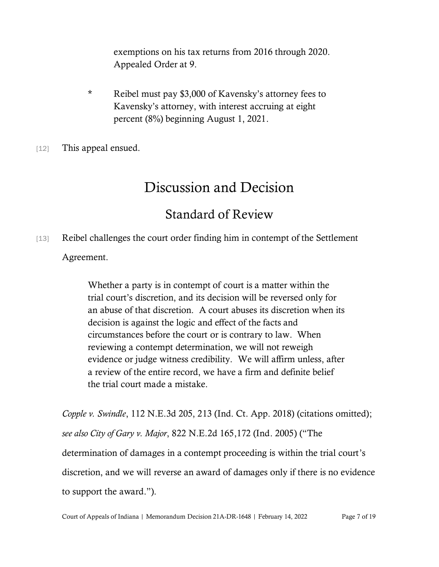exemptions on his tax returns from 2016 through 2020. Appealed Order at 9.

- \* Reibel must pay \$3,000 of Kavensky's attorney fees to Kavensky's attorney, with interest accruing at eight percent (8%) beginning August 1, 2021.
- [12] This appeal ensued.

# Discussion and Decision

### Standard of Review

[13] Reibel challenges the court order finding him in contempt of the Settlement Agreement.

> Whether a party is in contempt of court is a matter within the trial court's discretion, and its decision will be reversed only for an abuse of that discretion. A court abuses its discretion when its decision is against the logic and effect of the facts and circumstances before the court or is contrary to law. When reviewing a contempt determination, we will not reweigh evidence or judge witness credibility. We will affirm unless, after a review of the entire record, we have a firm and definite belief the trial court made a mistake.

*Copple v. Swindle*, 112 N.E.3d 205, 213 (Ind. Ct. App. 2018) (citations omitted); *see also City of Gary v. Major*, 822 N.E.2d 165,172 (Ind. 2005) ("The determination of damages in a contempt proceeding is within the trial court's discretion, and we will reverse an award of damages only if there is no evidence to support the award.").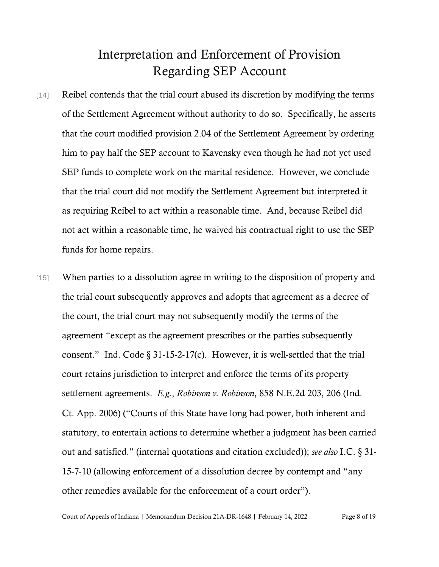# Interpretation and Enforcement of Provision Regarding SEP Account

- [14] Reibel contends that the trial court abused its discretion by modifying the terms of the Settlement Agreement without authority to do so. Specifically, he asserts that the court modified provision 2.04 of the Settlement Agreement by ordering him to pay half the SEP account to Kavensky even though he had not yet used SEP funds to complete work on the marital residence. However, we conclude that the trial court did not modify the Settlement Agreement but interpreted it as requiring Reibel to act within a reasonable time. And, because Reibel did not act within a reasonable time, he waived his contractual right to use the SEP funds for home repairs.
- [15] When parties to a dissolution agree in writing to the disposition of property and the trial court subsequently approves and adopts that agreement as a decree of the court, the trial court may not subsequently modify the terms of the agreement "except as the agreement prescribes or the parties subsequently consent." Ind. Code § 31-15-2-17(c). However, it is well-settled that the trial court retains jurisdiction to interpret and enforce the terms of its property settlement agreements. *E.g.*, *Robinson v. Robinson*, 858 N.E.2d 203, 206 (Ind. Ct. App. 2006) ("Courts of this State have long had power, both inherent and statutory, to entertain actions to determine whether a judgment has been carried out and satisfied." (internal quotations and citation excluded)); *see also* I.C. § 31- 15-7-10 (allowing enforcement of a dissolution decree by contempt and "any other remedies available for the enforcement of a court order").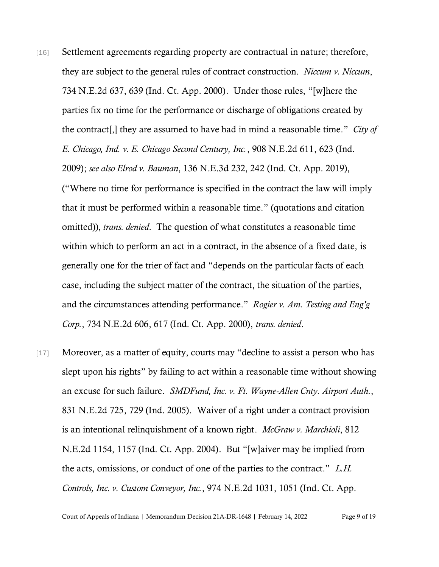- [16] Settlement agreements regarding property are contractual in nature; therefore, they are subject to the general rules of contract construction. *Niccum v. Niccum*, 734 N.E.2d 637, 639 (Ind. Ct. App. 2000). Under those rules, "[w]here the parties fix no time for the performance or discharge of obligations created by the contract[,] they are assumed to have had in mind a reasonable time." *City of E. Chicago, Ind. v. E. Chicago Second Century, Inc.*, 908 N.E.2d 611, 623 (Ind. 2009); *see also Elrod v. Bauman*, 136 N.E.3d 232, 242 (Ind. Ct. App. 2019), ("Where no time for performance is specified in the contract the law will imply that it must be performed within a reasonable time." (quotations and citation omitted)), *trans. denied*. The question of what constitutes a reasonable time within which to perform an act in a contract, in the absence of a fixed date, is generally one for the trier of fact and "depends on the particular facts of each case, including the subject matter of the contract, the situation of the parties, and the circumstances attending performance." *Rogier v. Am. Testing and Eng'g Corp.*, 734 N.E.2d 606, 617 (Ind. Ct. App. 2000), *trans. denied*.
- [17] Moreover, as a matter of equity, courts may "decline to assist a person who has slept upon his rights" by failing to act within a reasonable time without showing an excuse for such failure. *SMDFund, Inc. v. Ft. Wayne-Allen Cnty. Airport Auth.*, 831 N.E.2d 725, 729 (Ind. 2005). Waiver of a right under a contract provision is an intentional relinquishment of a known right. *McGraw v. Marchioli*, 812 N.E.2d 1154, 1157 (Ind. Ct. App. 2004). But "[w]aiver may be implied from the acts, omissions, or conduct of one of the parties to the contract." *L.H. Controls, Inc. v. Custom Conveyor, Inc.*, 974 N.E.2d 1031, 1051 (Ind. Ct. App.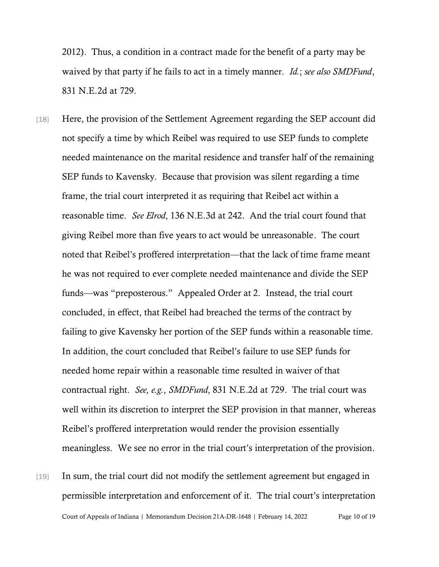2012). Thus, a condition in a contract made for the benefit of a party may be waived by that party if he fails to act in a timely manner. *Id.*; *see also SMDFund*, 831 N.E.2d at 729.

- [18] Here, the provision of the Settlement Agreement regarding the SEP account did not specify a time by which Reibel was required to use SEP funds to complete needed maintenance on the marital residence and transfer half of the remaining SEP funds to Kavensky. Because that provision was silent regarding a time frame, the trial court interpreted it as requiring that Reibel act within a reasonable time. *See Elrod*, 136 N.E.3d at 242. And the trial court found that giving Reibel more than five years to act would be unreasonable. The court noted that Reibel's proffered interpretation—that the lack of time frame meant he was not required to ever complete needed maintenance and divide the SEP funds—was "preposterous." Appealed Order at 2. Instead, the trial court concluded, in effect, that Reibel had breached the terms of the contract by failing to give Kavensky her portion of the SEP funds within a reasonable time. In addition, the court concluded that Reibel's failure to use SEP funds for needed home repair within a reasonable time resulted in waiver of that contractual right. *See, e.g.*, *SMDFund*, 831 N.E.2d at 729. The trial court was well within its discretion to interpret the SEP provision in that manner, whereas Reibel's proffered interpretation would render the provision essentially meaningless. We see no error in the trial court's interpretation of the provision.
- Court of Appeals of Indiana | Memorandum Decision 21A-DR-1648 | February 14, 2022 Page 10 of 19 [19] In sum, the trial court did not modify the settlement agreement but engaged in permissible interpretation and enforcement of it. The trial court's interpretation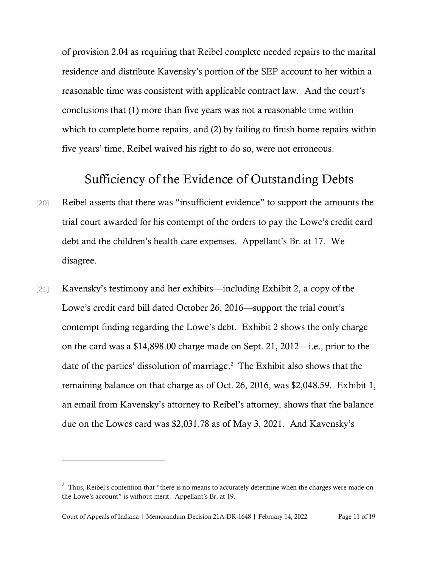of provision 2.04 as requiring that Reibel complete needed repairs to the marital residence and distribute Kavensky's portion of the SEP account to her within a reasonable time was consistent with applicable contract law. And the court's conclusions that (1) more than five years was not a reasonable time within which to complete home repairs, and (2) by failing to finish home repairs within five years' time, Reibel waived his right to do so, were not erroneous.

### Sufficiency of the Evidence of Outstanding Debts

- [20] Reibel asserts that there was "insufficient evidence" to support the amounts the trial court awarded for his contempt of the orders to pay the Lowe's credit card debt and the children's health care expenses. Appellant's Br. at 17. We disagree.
- [21] Kavensky's testimony and her exhibits—including Exhibit 2, a copy of the Lowe's credit card bill dated October 26, 2016—support the trial court's contempt finding regarding the Lowe's debt. Exhibit 2 shows the only charge on the card was a \$14,898.00 charge made on Sept. 21, 2012—i.e., prior to the date of the parties' dissolution of marriage. 2 The Exhibit also shows that the remaining balance on that charge as of Oct. 26, 2016, was \$2,048.59. Exhibit 1, an email from Kavensky's attorney to Reibel's attorney, shows that the balance due on the Lowes card was \$2,031.78 as of May 3, 2021. And Kavensky's

 $2$  Thus, Reibel's contention that "there is no means to accurately determine when the charges were made on the Lowe's account" is without merit. Appellant's Br. at 19.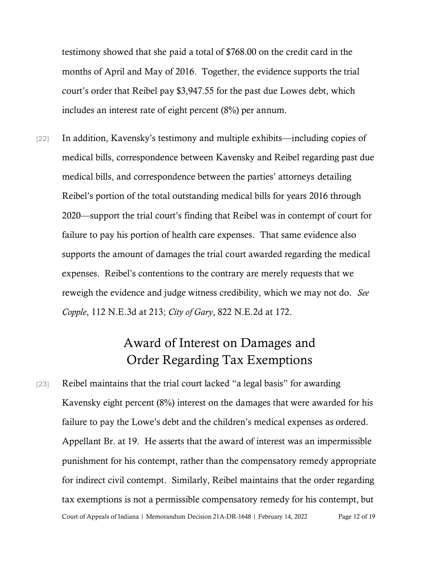testimony showed that she paid a total of \$768.00 on the credit card in the months of April and May of 2016. Together, the evidence supports the trial court's order that Reibel pay \$3,947.55 for the past due Lowes debt, which includes an interest rate of eight percent (8%) per annum.

[22] In addition, Kavensky's testimony and multiple exhibits—including copies of medical bills, correspondence between Kavensky and Reibel regarding past due medical bills, and correspondence between the parties' attorneys detailing Reibel's portion of the total outstanding medical bills for years 2016 through 2020—support the trial court's finding that Reibel was in contempt of court for failure to pay his portion of health care expenses. That same evidence also supports the amount of damages the trial court awarded regarding the medical expenses. Reibel's contentions to the contrary are merely requests that we reweigh the evidence and judge witness credibility, which we may not do. *See Copple*, 112 N.E.3d at 213; *City of Gary*, 822 N.E.2d at 172.

## Award of Interest on Damages and Order Regarding Tax Exemptions

Court of Appeals of Indiana | Memorandum Decision 21A-DR-1648 | February 14, 2022 Page 12 of 19 [23] Reibel maintains that the trial court lacked "a legal basis" for awarding Kavensky eight percent (8%) interest on the damages that were awarded for his failure to pay the Lowe's debt and the children's medical expenses as ordered. Appellant Br. at 19. He asserts that the award of interest was an impermissible punishment for his contempt, rather than the compensatory remedy appropriate for indirect civil contempt. Similarly, Reibel maintains that the order regarding tax exemptions is not a permissible compensatory remedy for his contempt, but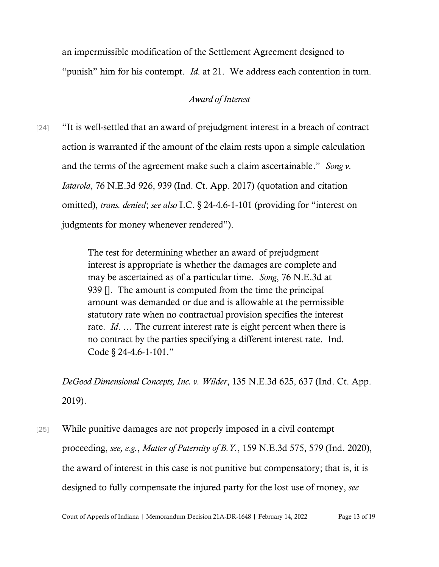an impermissible modification of the Settlement Agreement designed to "punish" him for his contempt. *Id*. at 21. We address each contention in turn.

#### *Award of Interest*

[24] "It is well-settled that an award of prejudgment interest in a breach of contract action is warranted if the amount of the claim rests upon a simple calculation and the terms of the agreement make such a claim ascertainable." *Song v. Iatarola*, 76 N.E.3d 926, 939 (Ind. Ct. App. 2017) (quotation and citation omitted), *trans. denied*; *see also* I.C. § 24-4.6-1-101 (providing for "interest on judgments for money whenever rendered").

> The test for determining whether an award of prejudgment interest is appropriate is whether the damages are complete and may be ascertained as of a particular time. *Song*, 76 N.E.3d at 939 []. The amount is computed from the time the principal amount was demanded or due and is allowable at the permissible statutory rate when no contractual provision specifies the interest rate. *Id*. … The current interest rate is eight percent when there is no contract by the parties specifying a different interest rate. Ind. Code § 24-4.6-1-101."

*DeGood Dimensional Concepts, Inc. v. Wilder*, 135 N.E.3d 625, 637 (Ind. Ct. App. 2019).

[25] While punitive damages are not properly imposed in a civil contempt proceeding, *see, e.g.*, *Matter of Paternity of B.Y.*, 159 N.E.3d 575, 579 (Ind. 2020), the award of interest in this case is not punitive but compensatory; that is, it is designed to fully compensate the injured party for the lost use of money, *see*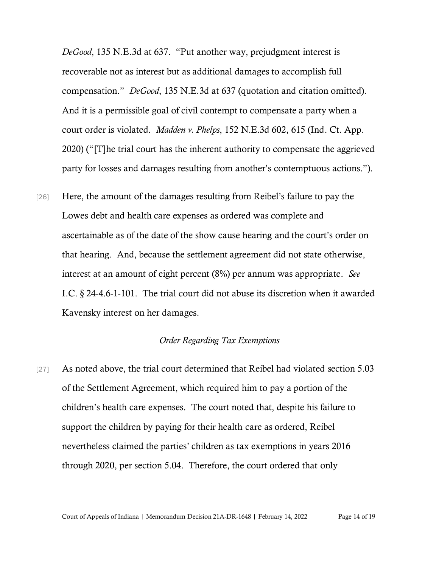*DeGood*, 135 N.E.3d at 637. "Put another way, prejudgment interest is recoverable not as interest but as additional damages to accomplish full compensation." *DeGood*, 135 N.E.3d at 637 (quotation and citation omitted). And it is a permissible goal of civil contempt to compensate a party when a court order is violated. *Madden v. Phelps*, 152 N.E.3d 602, 615 (Ind. Ct. App. 2020) ("[T]he trial court has the inherent authority to compensate the aggrieved party for losses and damages resulting from another's contemptuous actions.").

[26] Here, the amount of the damages resulting from Reibel's failure to pay the Lowes debt and health care expenses as ordered was complete and ascertainable as of the date of the show cause hearing and the court's order on that hearing. And, because the settlement agreement did not state otherwise, interest at an amount of eight percent (8%) per annum was appropriate. *See* I.C. § 24-4.6-1-101. The trial court did not abuse its discretion when it awarded Kavensky interest on her damages.

#### *Order Regarding Tax Exemptions*

[27] As noted above, the trial court determined that Reibel had violated section 5.03 of the Settlement Agreement, which required him to pay a portion of the children's health care expenses. The court noted that, despite his failure to support the children by paying for their health care as ordered, Reibel nevertheless claimed the parties' children as tax exemptions in years 2016 through 2020, per section 5.04. Therefore, the court ordered that only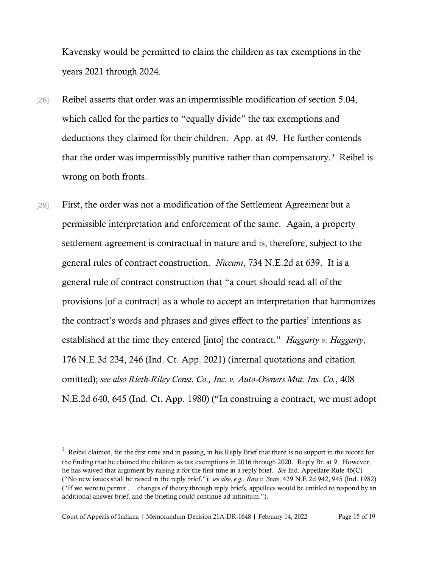Kavensky would be permitted to claim the children as tax exemptions in the years 2021 through 2024.

- [28] Reibel asserts that order was an impermissible modification of section 5.04, which called for the parties to "equally divide" the tax exemptions and deductions they claimed for their children. App. at 49. He further contends that the order was impermissibly punitive rather than compensatory.<sup>3</sup> Reibel is wrong on both fronts.
- [29] First, the order was not a modification of the Settlement Agreement but a permissible interpretation and enforcement of the same. Again, a property settlement agreement is contractual in nature and is, therefore, subject to the general rules of contract construction. *Niccum*, 734 N.E.2d at 639. It is a general rule of contract construction that "a court should read all of the provisions [of a contract] as a whole to accept an interpretation that harmonizes the contract's words and phrases and gives effect to the parties' intentions as established at the time they entered [into] the contract." *Haggarty v. Haggarty*, 176 N.E.3d 234, 246 (Ind. Ct. App. 2021) (internal quotations and citation omitted); *see also Rieth-Riley Const. Co., Inc. v. Auto-Owners Mut. Ins. Co.*, 408 N.E.2d 640, 645 (Ind. Ct. App. 1980) ("In construing a contract, we must adopt

 $3\,$  Reibel claimed, for the first time and in passing, in his Reply Brief that there is no support in the record for the finding that he claimed the children as tax exemptions in 2016 through 2020. Reply Br. at 9. However, he has waived that argument by raising it for the first time in a reply brief. *See* Ind. Appellate Rule 46(C) ("No new issues shall be raised in the reply brief."); *see also, e.g.*, *Ross v. State*, 429 N.E.2d 942, 945 (Ind. 1982) ("If we were to permit . . . changes of theory through reply briefs, appellees would be entitled to respond by an additional answer brief, and the briefing could continue ad infinitum.").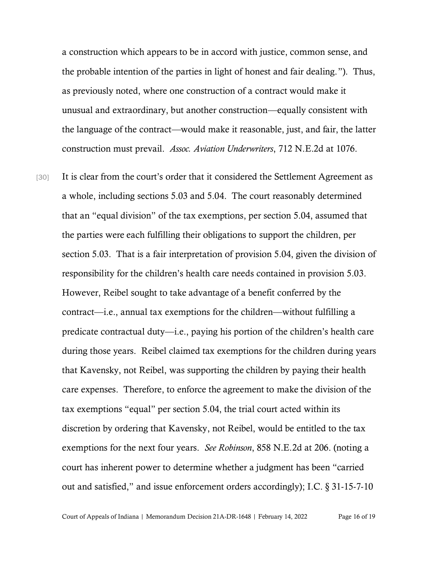a construction which appears to be in accord with justice, common sense, and the probable intention of the parties in light of honest and fair dealing."). Thus, as previously noted, where one construction of a contract would make it unusual and extraordinary, but another construction—equally consistent with the language of the contract—would make it reasonable, just, and fair, the latter construction must prevail. *Assoc. Aviation Underwriters*, 712 N.E.2d at 1076.

[30] It is clear from the court's order that it considered the Settlement Agreement as a whole, including sections 5.03 and 5.04. The court reasonably determined that an "equal division" of the tax exemptions, per section 5.04, assumed that the parties were each fulfilling their obligations to support the children, per section 5.03. That is a fair interpretation of provision 5.04, given the division of responsibility for the children's health care needs contained in provision 5.03. However, Reibel sought to take advantage of a benefit conferred by the contract—i.e., annual tax exemptions for the children—without fulfilling a predicate contractual duty—i.e., paying his portion of the children's health care during those years. Reibel claimed tax exemptions for the children during years that Kavensky, not Reibel, was supporting the children by paying their health care expenses. Therefore, to enforce the agreement to make the division of the tax exemptions "equal" per section 5.04, the trial court acted within its discretion by ordering that Kavensky, not Reibel, would be entitled to the tax exemptions for the next four years. *See Robinson*, 858 N.E.2d at 206. (noting a court has inherent power to determine whether a judgment has been "carried out and satisfied," and issue enforcement orders accordingly); I.C. § 31-15-7-10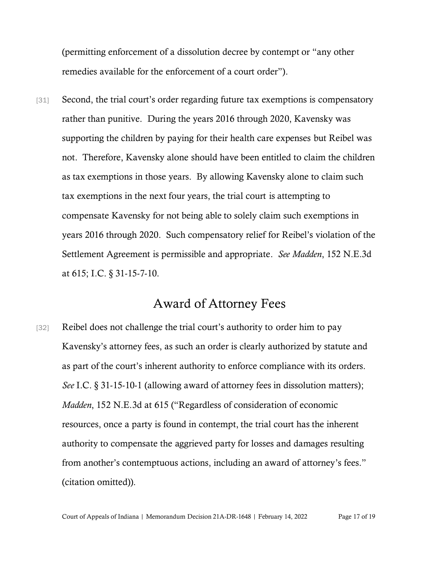(permitting enforcement of a dissolution decree by contempt or "any other remedies available for the enforcement of a court order").

[31] Second, the trial court's order regarding future tax exemptions is compensatory rather than punitive. During the years 2016 through 2020, Kavensky was supporting the children by paying for their health care expenses but Reibel was not. Therefore, Kavensky alone should have been entitled to claim the children as tax exemptions in those years. By allowing Kavensky alone to claim such tax exemptions in the next four years, the trial court is attempting to compensate Kavensky for not being able to solely claim such exemptions in years 2016 through 2020. Such compensatory relief for Reibel's violation of the Settlement Agreement is permissible and appropriate. *See Madden*, 152 N.E.3d at 615; I.C. § 31-15-7-10.

## Award of Attorney Fees

[32] Reibel does not challenge the trial court's authority to order him to pay Kavensky's attorney fees, as such an order is clearly authorized by statute and as part of the court's inherent authority to enforce compliance with its orders. *See* I.C. § 31-15-10-1 (allowing award of attorney fees in dissolution matters); *Madden*, 152 N.E.3d at 615 ("Regardless of consideration of economic resources, once a party is found in contempt, the trial court has the inherent authority to compensate the aggrieved party for losses and damages resulting from another's contemptuous actions, including an award of attorney's fees." (citation omitted)).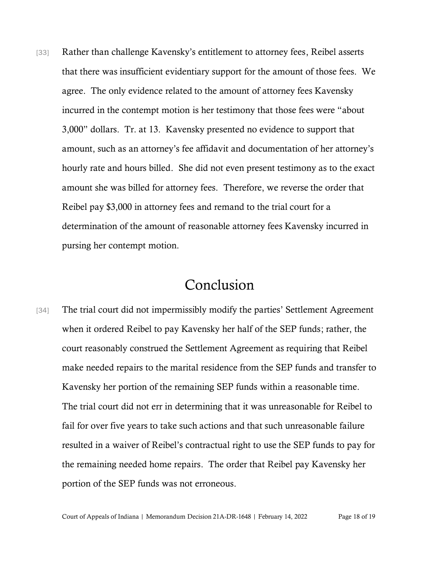[33] Rather than challenge Kavensky's entitlement to attorney fees, Reibel asserts that there was insufficient evidentiary support for the amount of those fees. We agree. The only evidence related to the amount of attorney fees Kavensky incurred in the contempt motion is her testimony that those fees were "about 3,000" dollars. Tr. at 13. Kavensky presented no evidence to support that amount, such as an attorney's fee affidavit and documentation of her attorney's hourly rate and hours billed. She did not even present testimony as to the exact amount she was billed for attorney fees. Therefore, we reverse the order that Reibel pay \$3,000 in attorney fees and remand to the trial court for a determination of the amount of reasonable attorney fees Kavensky incurred in pursing her contempt motion.

## Conclusion

[34] The trial court did not impermissibly modify the parties' Settlement Agreement when it ordered Reibel to pay Kavensky her half of the SEP funds; rather, the court reasonably construed the Settlement Agreement as requiring that Reibel make needed repairs to the marital residence from the SEP funds and transfer to Kavensky her portion of the remaining SEP funds within a reasonable time. The trial court did not err in determining that it was unreasonable for Reibel to fail for over five years to take such actions and that such unreasonable failure resulted in a waiver of Reibel's contractual right to use the SEP funds to pay for the remaining needed home repairs. The order that Reibel pay Kavensky her portion of the SEP funds was not erroneous.